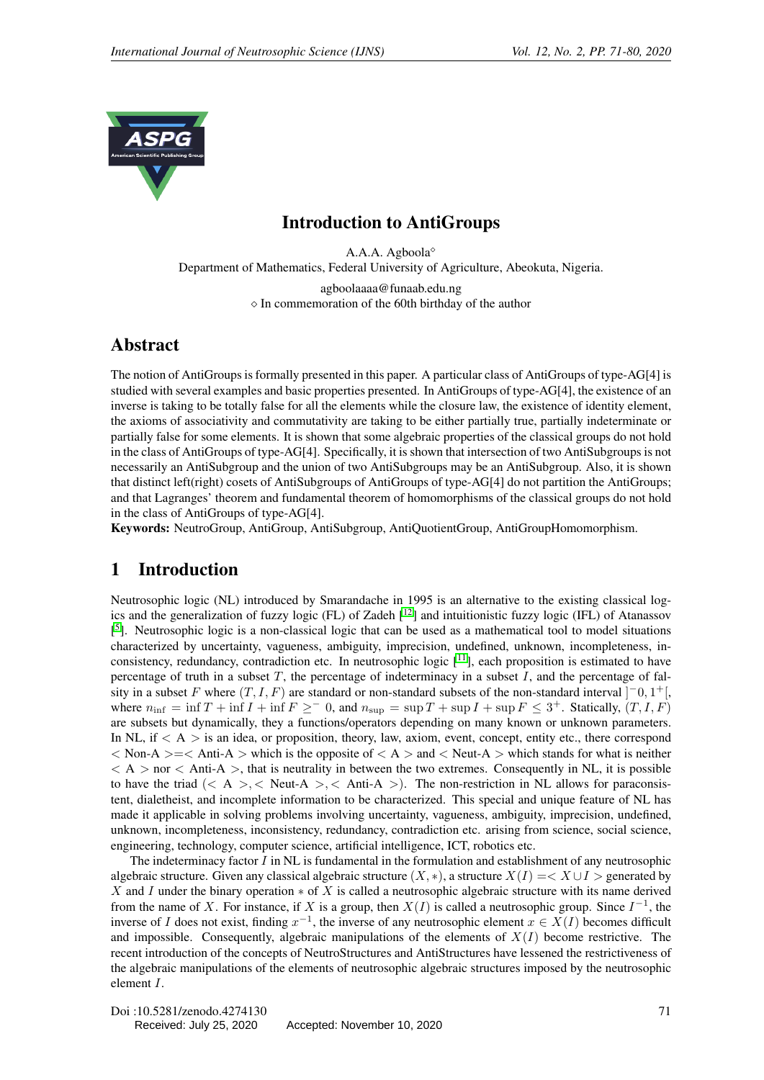<span id="page-0-0"></span>

### Introduction to AntiGroups

A.A.A. Agboola Department of Mathematics, Federal University of Agriculture, Abeokuta, Nigeria. agboolaaaa@funaab.edu.ng  $\Diamond$  In commemoration of the 60th birthday of the author

### Abstract

The notion of AntiGroups is formally presented in this paper. A particular class of AntiGroups of type-AG[4] is studied with several examples and basic properties presented. In AntiGroups of type-AG[4], the existence of an inverse is taking to be totally false for all the elements while the closure law, the existence of identity element, the axioms of associativity and commutativity are taking to be either partially true, partially indeterminate or partially false for some elements. It is shown that some algebraic properties of the classical groups do not hold in the class of AntiGroups of type-AG[4]. Specifically, it is shown that intersection of two AntiSubgroups is not necessarily an AntiSubgroup and the union of two AntiSubgroups may be an AntiSubgroup. Also, it is shown that distinct left(right) cosets of AntiSubgroups of AntiGroups of type-AG[4] do not partition the AntiGroups; and that Lagranges' theorem and fundamental theorem of homomorphisms of the classical groups do not hold in the class of AntiGroups of type-AG[4].

Keywords: NeutroGroup, AntiGroup, AntiSubgroup, AntiQuotientGroup, AntiGroupHomomorphism.

# 1 Introduction

Neutrosophic logic (NL) introduced by Smarandache in 1995 is an alternative to the existing classical logics and the generalization of fuzzy logic (FL) of Zadeh [[12](#page-9-0)] and intuitionistic fuzzy logic (IFL) of Atanassov [<sup>[5](#page-9-1)</sup>]. Neutrosophic logic is a non-classical logic that can be used as a mathematical tool to model situations characterized by uncertainty, vagueness, ambiguity, imprecision, undefined, unknown, incompleteness, inconsistency, redundancy, contradiction etc. In neutrosophic logic  $\lceil \frac{11}{1} \rceil$  $\lceil \frac{11}{1} \rceil$  $\lceil \frac{11}{1} \rceil$ , each proposition is estimated to have percentage of truth in a subset  $T$ , the percentage of indeterminacy in a subset  $I$ , and the percentage of falsity in a subset F where  $(T, I, F)$  are standard or non-standard subsets of the non-standard interval  $]$ <sup>-</sup>0, 1<sup>+</sup>[, where  $n_{\text{inf}} = \inf T + \inf I + \inf F \geq 0$ , and  $n_{\text{sup}} = \sup T + \sup I + \sup F \leq 3^+$ . Statically,  $(T, I, F)$ are subsets but dynamically, they a functions/operators depending on many known or unknown parameters. In NL, if  $\langle A \rangle$  is an idea, or proposition, theory, law, axiom, event, concept, entity etc., there correspond  $<$  Non-A  $>=$   $<$  Anti-A  $>$  which is the opposite of  $<$  A  $>$  and  $<$  Neut-A  $>$  which stands for what is neither  $< A >$  nor  $< A$ nti-A  $>$ , that is neutrality in between the two extremes. Consequently in NL, it is possible to have the triad  $(< A > <$  Neut-A  $> , <$  Anti-A  $>$ ). The non-restriction in NL allows for paraconsistent, dialetheist, and incomplete information to be characterized. This special and unique feature of NL has made it applicable in solving problems involving uncertainty, vagueness, ambiguity, imprecision, undefined, unknown, incompleteness, inconsistency, redundancy, contradiction etc. arising from science, social science, engineering, technology, computer science, artificial intelligence, ICT, robotics etc.

The indeterminacy factor  $I$  in NL is fundamental in the formulation and establishment of any neutrosophic algebraic structure. Given any classical algebraic structure  $(X, *)$ , a structure  $X(I) =  $X \cup I$  > generated by$ X and I under the binary operation  $*$  of X is called a neutrosophic algebraic structure with its name derived from the name of X. For instance, if X is a group, then  $X(I)$  is called a neutrosophic group. Since  $I^{-1}$ , the inverse of I does not exist, finding  $x^{-1}$ , the inverse of any neutrosophic element  $x \in X(I)$  becomes difficult and impossible. Consequently, algebraic manipulations of the elements of  $X(I)$  become restrictive. The recent introduction of the concepts of NeutroStructures and AntiStructures have lessened the restrictiveness of the algebraic manipulations of the elements of neutrosophic algebraic structures imposed by the neutrosophic element I.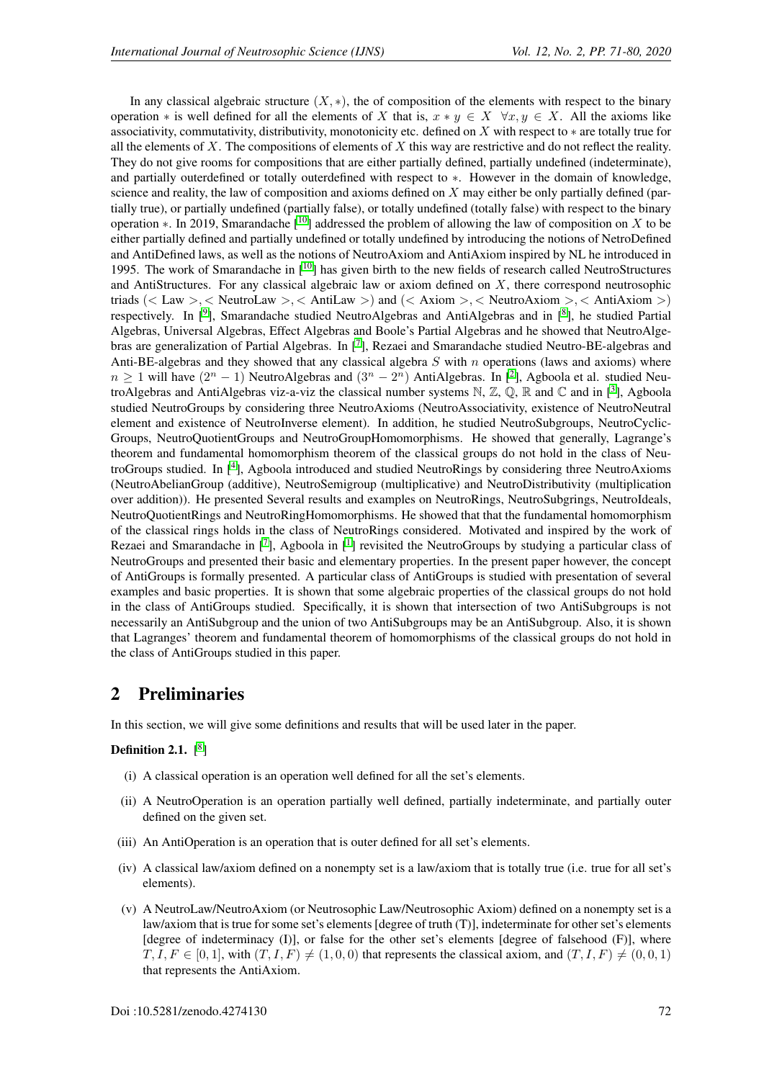In any classical algebraic structure  $(X, *)$ , the of composition of the elements with respect to the binary operation \* is well defined for all the elements of X that is,  $x * y \in X \quad \forall x, y \in X$ . All the axioms like associativity, commutativity, distributivity, monotonicity etc. defined on X with respect to ∗ are totally true for all the elements of X. The compositions of elements of X this way are restrictive and do not reflect the reality. They do not give rooms for compositions that are either partially defined, partially undefined (indeterminate), and partially outerdefined or totally outerdefined with respect to ∗. However in the domain of knowledge, science and reality, the law of composition and axioms defined on X may either be only partially defined (partially true), or partially undefined (partially false), or totally undefined (totally false) with respect to the binary operation ∗. In 2019, Smarandache  $\lceil \cdot 10 \rceil$  $\lceil \cdot 10 \rceil$  $\lceil \cdot 10 \rceil$  addressed the problem of allowing the law of composition on X to be either partially defined and partially undefined or totally undefined by introducing the notions of NetroDefined and AntiDefined laws, as well as the notions of NeutroAxiom and AntiAxiom inspired by NL he introduced in 1995. The work of Smarandache in [[10](#page-9-3)] has given birth to the new fields of research called NeutroStructures and AntiStructures. For any classical algebraic law or axiom defined on  $X$ , there correspond neutrosophic triads (< Law >, < NeutroLaw >, < AntiLaw >) and (< Axiom >, < NeutroAxiom >, < AntiAxiom >) respectively. In [<sup>[9](#page-9-4)</sup>], Smarandache studied NeutroAlgebras and AntiAlgebras and in [<sup>[8](#page-9-5)</sup>], he studied Partial Algebras, Universal Algebras, Effect Algebras and Boole's Partial Algebras and he showed that NeutroAlge-bras are generalization of Partial Algebras. In [[7](#page-9-6)], Rezaei and Smarandache studied Neutro-BE-algebras and Anti-BE-algebras and they showed that any classical algebra  $S$  with  $n$  operations (laws and axioms) where  $n \ge 1$  will have  $(2^n - 1)$  $(2^n - 1)$  $(2^n - 1)$  NeutroAlgebras and  $(3^n - 2^n)$  AntiAlgebras. In [<sup>2</sup>], Agboola et al. studied NeutroAlgebras and AntiAlgebras viz-a-viz the classical number systems  $\mathbb{N}, \mathbb{Z}, \mathbb{Q}, \mathbb{R}$  and  $\mathbb{C}$  and in  $[3]$  $[3]$  $[3]$ , Agboola studied NeutroGroups by considering three NeutroAxioms (NeutroAssociativity, existence of NeutroNeutral element and existence of NeutroInverse element). In addition, he studied NeutroSubgroups, NeutroCyclic-Groups, NeutroQuotientGroups and NeutroGroupHomomorphisms. He showed that generally, Lagrange's theorem and fundamental homomorphism theorem of the classical groups do not hold in the class of Neu-troGroups studied. In [[4](#page-9-9)], Agboola introduced and studied NeutroRings by considering three NeutroAxioms (NeutroAbelianGroup (additive), NeutroSemigroup (multiplicative) and NeutroDistributivity (multiplication over addition)). He presented Several results and examples on NeutroRings, NeutroSubgrings, NeutroIdeals, NeutroQuotientRings and NeutroRingHomomorphisms. He showed that that the fundamental homomorphism of the classical rings holds in the class of NeutroRings considered. Motivated and inspired by the work of Rezaei and Smarandache in  $\begin{bmatrix} 7 \end{bmatrix}$  $\begin{bmatrix} 7 \end{bmatrix}$  $\begin{bmatrix} 7 \end{bmatrix}$ , Agboola in  $\begin{bmatrix} 1 \end{bmatrix}$  $\begin{bmatrix} 1 \end{bmatrix}$  $\begin{bmatrix} 1 \end{bmatrix}$  revisited the NeutroGroups by studying a particular class of NeutroGroups and presented their basic and elementary properties. In the present paper however, the concept of AntiGroups is formally presented. A particular class of AntiGroups is studied with presentation of several examples and basic properties. It is shown that some algebraic properties of the classical groups do not hold in the class of AntiGroups studied. Specifically, it is shown that intersection of two AntiSubgroups is not necessarily an AntiSubgroup and the union of two AntiSubgroups may be an AntiSubgroup. Also, it is shown that Lagranges' theorem and fundamental theorem of homomorphisms of the classical groups do not hold in the class of AntiGroups studied in this paper.

### 2 Preliminaries

In this section, we will give some definitions and results that will be used later in the paper.

#### Definition 2.1.  $[^8]$  $[^8]$  $[^8]$

- (i) A classical operation is an operation well defined for all the set's elements.
- (ii) A NeutroOperation is an operation partially well defined, partially indeterminate, and partially outer defined on the given set.
- (iii) An AntiOperation is an operation that is outer defined for all set's elements.
- (iv) A classical law/axiom defined on a nonempty set is a law/axiom that is totally true (i.e. true for all set's elements).
- (v) A NeutroLaw/NeutroAxiom (or Neutrosophic Law/Neutrosophic Axiom) defined on a nonempty set is a law/axiom that is true for some set's elements [degree of truth (T)], indeterminate for other set's elements [degree of indeterminacy (I)], or false for the other set's elements [degree of falsehood (F)], where  $T, I, F \in [0, 1]$ , with  $(T, I, F) \neq (1, 0, 0)$  that represents the classical axiom, and  $(T, I, F) \neq (0, 0, 1)$ that represents the AntiAxiom.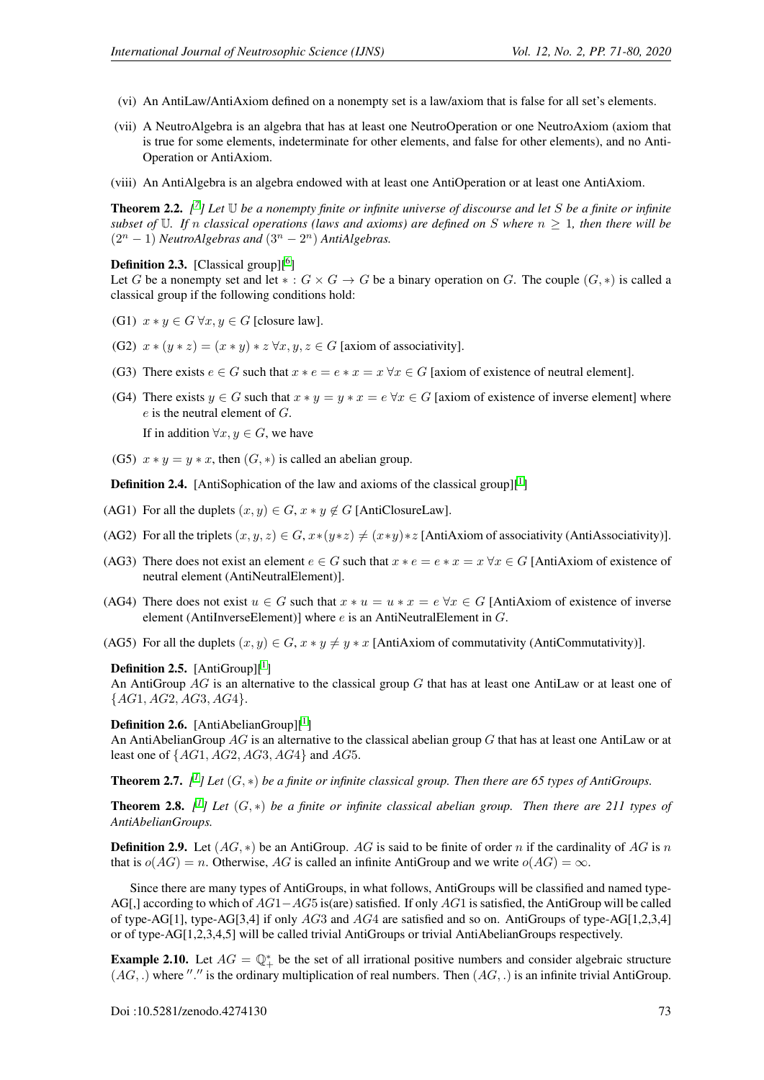- (vi) An AntiLaw/AntiAxiom defined on a nonempty set is a law/axiom that is false for all set's elements.
- (vii) A NeutroAlgebra is an algebra that has at least one NeutroOperation or one NeutroAxiom (axiom that is true for some elements, indeterminate for other elements, and false for other elements), and no Anti-Operation or AntiAxiom.
- (viii) An AntiAlgebra is an algebra endowed with at least one AntiOperation or at least one AntiAxiom.

Theorem 2.2. *[ [7](#page-9-6) ] Let* U *be a nonempty finite or infinite universe of discourse and let* S *be a finite or infinite subset of* U. If n classical operations (laws and axioms) are defined on S where  $n \geq 1$ , then there will be  $(2^{n} - 1)$  *NeutroAlgebras and*  $(3^{n} - 2^{n})$  *AntiAlgebras.* 

#### **Definition 2.3.** [Classical group] $[6]$  $[6]$  $[6]$

Let G be a nonempty set and let  $* : G \times G \to G$  be a binary operation on G. The couple  $(G, *)$  is called a classical group if the following conditions hold:

- (G1)  $x * y \in G \forall x, y \in G$  [closure law].
- (G2)  $x * (y * z) = (x * y) * z \forall x, y, z \in G$  [axiom of associativity].
- (G3) There exists  $e \in G$  such that  $x * e = e * x = x \forall x \in G$  [axiom of existence of neutral element].
- (G4) There exists  $y \in G$  such that  $x * y = y * x = e \forall x \in G$  [axiom of existence of inverse element] where  $e$  is the neutral element of  $G$ .

If in addition  $\forall x, y \in G$ , we have

(G5)  $x * y = y * x$ , then  $(G, *)$  is called an abelian group.

**Definition 2.4.** [AntiSophication of the law and axioms of the classical group][ $^1$  $^1$ ]

- (AG1) For all the duplets  $(x, y) \in G$ ,  $x * y \notin G$  [AntiClosureLaw].
- (AG2) For all the triplets  $(x, y, z) \in G$ ,  $x*(y*z) \neq (x*y)*z$  [AntiAxiom of associativity (AntiAssociativity)].
- (AG3) There does not exist an element  $e \in G$  such that  $x * e = e * x = x \forall x \in G$  [AntiAxiom of existence of neutral element (AntiNeutralElement)].
- (AG4) There does not exist  $u \in G$  such that  $x * u = u * x = e \forall x \in G$  [AntiAxiom of existence of inverse element (AntiInverseElement)] where  $e$  is an AntiNeutralElement in  $G$ .
- (AG5) For all the duplets  $(x, y) \in G$ ,  $x * y \neq y * x$  [AntiAxiom of commutativity (AntiCommutativity)].

#### **Definition 2.5.** [AntiGroup][ $^1$  $^1$ ]

An AntiGroup AG is an alternative to the classical group G that has at least one AntiLaw or at least one of  ${AG1, AG2, AG3, AG4}.$ 

#### **Definition 2.6.** [AntiAbelianGroup][ $^1$  $^1$ ]

An AntiAbelianGroup  $AG$  is an alternative to the classical abelian group G that has at least one AntiLaw or at least one of  $\{AG1, AG2, AG3, AG4\}$  and  $AG5$ .

**Theorem 2.7.**  $\lbrack l^1 \rbrack$  $\lbrack l^1 \rbrack$  $\lbrack l^1 \rbrack$  Let  $(G,*)$  be a finite or infinite classical group. Then there are 65 types of AntiGroups.

**Theorem 2.8.**  $\lbrack l \rbrack$  Let  $(G,*)$  be a finite or infinite classical abelian group. Then there are 2[1](#page-9-10)1 types of *AntiAbelianGroups.*

**Definition 2.9.** Let  $(AG, *)$  be an AntiGroup. AG is said to be finite of order n if the cardinality of AG is n that is  $o(AG) = n$ . Otherwise, AG is called an infinite AntiGroup and we write  $o(AG) = \infty$ .

Since there are many types of AntiGroups, in what follows, AntiGroups will be classified and named type-AG[,] according to which of  $AG1-AG5$  is(are) satisfied. If only AG1 is satisfied, the AntiGroup will be called of type-AG[1], type-AG[3,4] if only AG3 and AG4 are satisfied and so on. AntiGroups of type-AG[1,2,3,4] or of type-AG[1,2,3,4,5] will be called trivial AntiGroups or trivial AntiAbelianGroups respectively.

**Example 2.10.** Let  $AG = \mathbb{Q}_+^*$  be the set of all irrational positive numbers and consider algebraic structure  $(AG,.)$  where "." is the ordinary multiplication of real numbers. Then  $(AG,.)$  is an infinite trivial AntiGroup.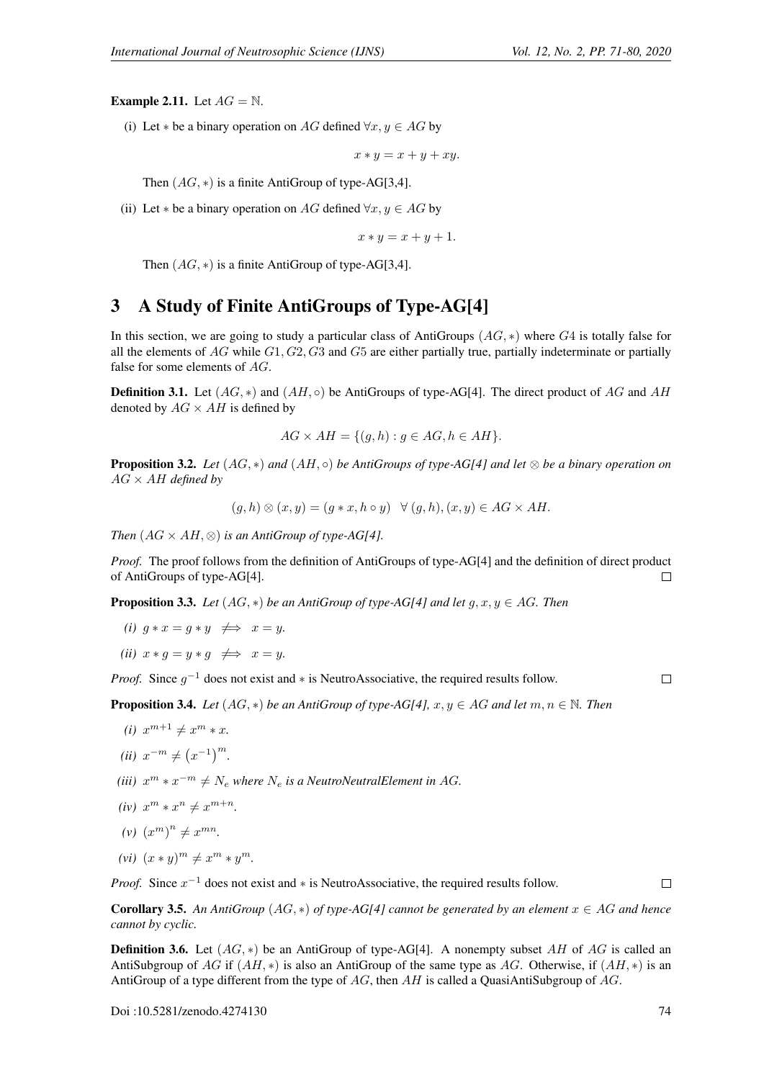**Example 2.11.** Let  $AG = N$ .

(i) Let  $*$  be a binary operation on AG defined  $\forall x, y \in AG$  by

 $x * y = x + y + xy.$ 

Then  $(AG, *)$  is a finite AntiGroup of type-AG[3,4].

(ii) Let  $*$  be a binary operation on AG defined  $\forall x, y \in AG$  by

 $x * y = x + y + 1.$ 

Then  $(AG, *)$  is a finite AntiGroup of type-AG[3,4].

### 3 A Study of Finite AntiGroups of Type-AG[4]

In this section, we are going to study a particular class of AntiGroups  $(AG, *)$  where  $G4$  is totally false for all the elements of  $AG$  while  $G1, G2, G3$  and  $G5$  are either partially true, partially indeterminate or partially false for some elements of AG.

**Definition 3.1.** Let  $(AG, *)$  and  $(AH, \circ)$  be AntiGroups of type-AG[4]. The direct product of AG and AH denoted by  $AG \times AH$  is defined by

$$
AG \times AH = \{ (g, h) : g \in AG, h \in AH \}.
$$

Proposition 3.2. *Let* (AG, ∗) *and* (AH, ◦) *be AntiGroups of type-AG[4] and let* ⊗ *be a binary operation on* AG × AH *defined by*

$$
(g,h)\otimes(x,y)=(g*x,h\circ y)\quad\forall (g,h),(x,y)\in AG\times AH.
$$

*Then*  $(AG \times AH, \otimes)$  *is an AntiGroup of type-AG[4].* 

*Proof.* The proof follows from the definition of AntiGroups of type-AG[4] and the definition of direct product of AntiGroups of type-AG[4].  $\Box$ 

**Proposition 3.3.** *Let*  $(AG, *)$  *be an AntiGroup of type-AG[4] and let*  $g, x, y \in AG$ *. Then* 

- *(i)*  $q * x = q * y \implies x = y$ .
- *(ii)*  $x * g = y * g \implies x = y$ .

*Proof.* Since  $g^{-1}$  does not exist and  $*$  is NeutroAssociative, the required results follow.

 $\Box$ 

**Proposition 3.4.** *Let*  $(AG, *)$  *be an AntiGroup of type-AG[4], x, y*  $\in$  *AG and let*  $m, n \in \mathbb{N}$ *. Then* 

- *(i)*  $x^{m+1} \neq x^m * x$ .
- (*ii*)  $x^{-m} \neq (x^{-1})^m$ .
- (*iii*)  $x^m * x^{-m} \neq N_e$  where  $N_e$  is a NeutroNeutralElement in AG.
- *(iv)*  $x^m * x^n \neq x^{m+n}$ *.*
- (*v*)  $(x^m)^n \neq x^{mn}$ .
- $(vi)$   $(x * y)^m \neq x^m * y^m$ .

*Proof.* Since  $x^{-1}$  does not exist and  $*$  is NeutroAssociative, the required results follow.

**Corollary 3.5.** An AntiGroup  $(AG, *)$  of type-AG[4] cannot be generated by an element  $x \in AG$  and hence *cannot by cyclic.*

**Definition 3.6.** Let  $(AG, *)$  be an AntiGroup of type-AG[4]. A nonempty subset AH of AG is called an AntiSubgroup of AG if  $(AH, *)$  is also an AntiGroup of the same type as AG. Otherwise, if  $(AH, *)$  is an AntiGroup of a type different from the type of AG, then AH is called a QuasiAntiSubgroup of AG.

Doi :10.5281/zenodo.4274130 74

 $\Box$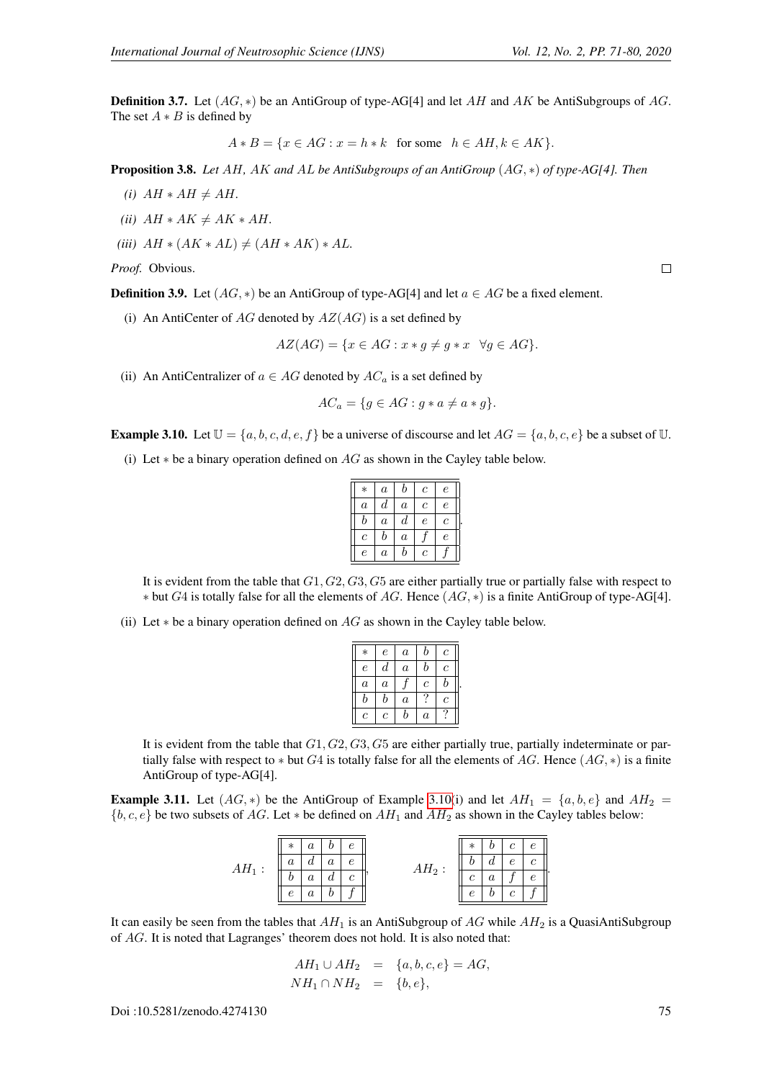**Definition 3.7.** Let  $(AG, *)$  be an AntiGroup of type-AG[4] and let AH and AK be AntiSubgroups of AG. The set  $A * B$  is defined by

$$
A * B = \{ x \in AG : x = h * k \text{ for some } h \in AH, k \in AK \}.
$$

Proposition 3.8. *Let* AH*,* AK *and* AL *be AntiSubgroups of an AntiGroup* (AG, ∗) *of type-AG[4]. Then*

- *(i)*  $AH * AH \neq AH$ .
- *(ii)*  $AH * AK \neq AK * AH$ .
- *(iii)*  $AH * (AK * AL) \neq (AH * AK) * AL$ .

*Proof.* Obvious.

**Definition 3.9.** Let  $(AG, *)$  be an AntiGroup of type-AG[4] and let  $a \in AG$  be a fixed element.

(i) An AntiCenter of  $AG$  denoted by  $AZ(AG)$  is a set defined by

$$
AZ(AG) = \{x \in AG : x * g \neq g * x \quad \forall g \in AG\}.
$$

(ii) An AntiCentralizer of  $a \in AG$  denoted by  $AC_a$  is a set defined by

$$
AC_a = \{ g \in AG : g * a \neq a * g \}.
$$

<span id="page-4-0"></span>**Example 3.10.** Let  $\mathbb{U} = \{a, b, c, d, e, f\}$  be a universe of discourse and let  $AG = \{a, b, c, e\}$  be a subset of  $\mathbb{U}$ .

(i) Let  $*$  be a binary operation defined on  $AG$  as shown in the Cayley table below.

| $\ast$           | $\boldsymbol{a}$ | b                | $\boldsymbol{c}$      | $\epsilon$     |
|------------------|------------------|------------------|-----------------------|----------------|
| $\alpha$         | d                | $\overline{a}$   | $\mathcal{C}_{0}^{2}$ | $\epsilon$     |
| $\boldsymbol{b}$ | $\overline{a}$   | $_{d}$           | $\epsilon$            | $\overline{c}$ |
| $\mathfrak c$    | b                | $\boldsymbol{a}$ |                       | $\epsilon$     |
| $\epsilon$       | $\boldsymbol{a}$ | b                | $\overline{c}$        |                |
|                  |                  |                  |                       |                |

.

It is evident from the table that  $G1, G2, G3, G5$  are either partially true or partially false with respect to  $*$  but G4 is totally false for all the elements of AG. Hence  $(AG, *)$  is a finite AntiGroup of type-AG[4].

(ii) Let  $*$  be a binary operation defined on  $AG$  as shown in the Cayley table below.

| $\ast$           | $\epsilon$   | $\boldsymbol{a}$ | b                | с                     |  |
|------------------|--------------|------------------|------------------|-----------------------|--|
| $\epsilon$       | $_{d}$       | $\boldsymbol{a}$ | b                | $\overline{c}$        |  |
| $\overline{a}$   | $\alpha$     |                  | $\boldsymbol{c}$ | b                     |  |
| $_{b}$           | b            | $\alpha$         | ?                | $\mathcal{C}_{0}^{0}$ |  |
| $\boldsymbol{c}$ | $\mathcal C$ | b                | $\boldsymbol{a}$ |                       |  |

It is evident from the table that  $G1, G2, G3, G5$  are either partially true, partially indeterminate or partially false with respect to  $*$  but G4 is totally false for all the elements of AG. Hence  $(AG, *)$  is a finite AntiGroup of type-AG[4].

**Example 3.11.** Let  $(AG, *)$  be the AntiGroup of Example [3.10\(](#page-4-0)i) and let  $AH_1 = \{a, b, e\}$  and  $AH_2$  ${b, c, e}$  be two subsets of AG. Let  $*$  be defined on  $AH_1$  and  $AH_2$  as shown in the Cayley tables below:

|          | $\epsilon$<br>$\ast$ |          | $^\ast$    | $\epsilon$ | $\epsilon$    |            |  |
|----------|----------------------|----------|------------|------------|---------------|------------|--|
| $AH_1$ : | $\it a$              | $\alpha$ | $\epsilon$ | $AH_2:$    |               | $\epsilon$ |  |
|          |                      |          |            |            | $\mathfrak c$ |            |  |
|          | $\epsilon$           |          |            |            | е             | Ċ          |  |
|          |                      |          |            |            |               |            |  |

It can easily be seen from the tables that  $AH_1$  is an AntiSubgroup of AG while  $AH_2$  is a QuasiAntiSubgroup of AG. It is noted that Lagranges' theorem does not hold. It is also noted that:

$$
AH_1 \cup AH_2 = \{a, b, c, e\} = AG, NH_1 \cap NH_2 = \{b, e\},
$$

Doi :10.5281/zenodo.4274130 75

 $\Box$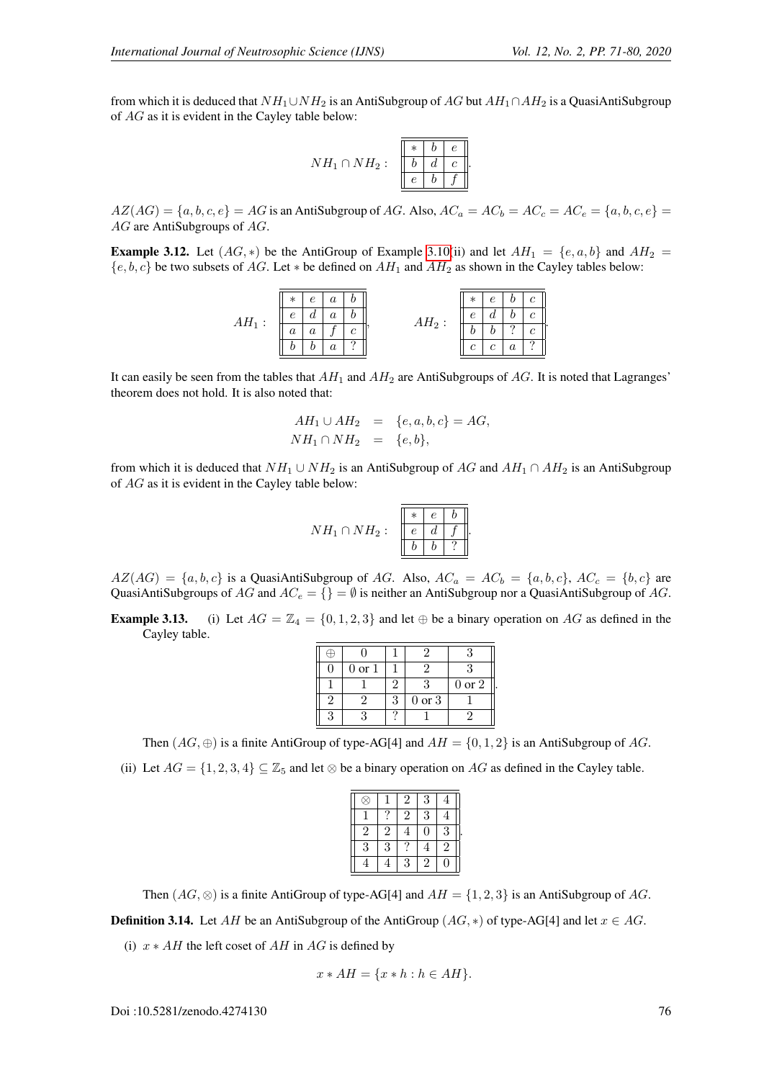.

from which it is deduced that  $NH_1 \cup NH_2$  is an AntiSubgroup of AG but  $AH_1 \cap AH_2$  is a QuasiAntiSubgroup of AG as it is evident in the Cayley table below:

$$
NH_1 \cap NH_2: \begin{array}{|c|c|c|c|c|} \hline * & b & e \\ \hline b & d & c \\ \hline e & b & f \end{array}.
$$

 $AZ(AG) = \{a, b, c, e\} = AG$  is an AntiSubgroup of AG. Also,  $AC_a = AC_b = AC_c = AC_e = \{a, b, c, e\} =$ AG are AntiSubgroups of AG.

**Example 3.12.** Let  $(AG, *)$  be the AntiGroup of Example [3.10\(](#page-4-0)ii) and let  $AH_1 = \{e, a, b\}$  and  $AH_2$  ${e, b, c}$  be two subsets of AG. Let  $*$  be defined on  $AH_1$  and  $AH_2$  as shown in the Cayley tables below:

AH<sup>1</sup> : ∗ e a b e d a b a a f c b b a ? , AH<sup>2</sup> : ∗ e b c e d b c b b ? c c c a ?

It can easily be seen from the tables that  $AH_1$  and  $AH_2$  are AntiSubgroups of  $AG$ . It is noted that Lagranges' theorem does not hold. It is also noted that:

$$
AH_1 \cup AH_2 = \{e, a, b, c\} = AG, NH_1 \cap NH_2 = \{e, b\},
$$

from which it is deduced that  $NH_1 \cup NH_2$  is an AntiSubgroup of AG and  $AH_1 \cap AH_2$  is an AntiSubgroup of AG as it is evident in the Cayley table below:

$$
NH_1 \cap NH_2: \begin{array}{|c|c|c|c|c|} \hline * & e & b \\ \hline e & d & f \\ \hline b & b & ? \\ \hline \end{array}
$$

.

 $AZ(AG) = \{a, b, c\}$  is a QuasiAntiSubgroup of AG. Also,  $AC_a = AC_b = \{a, b, c\}$ ,  $AC_c = \{b, c\}$  are QuasiAntiSubgroups of AG and  $AC_e = \{\} = \emptyset$  is neither an AntiSubgroup nor a QuasiAntiSubgroup of AG.

**Example 3.13.** (i) Let  $AG = \mathbb{Z}_4 = \{0, 1, 2, 3\}$  and let  $\oplus$  be a binary operation on AG as defined in the Cayley table.

| $0\ {\rm or}\ 1$ |        |            |
|------------------|--------|------------|
|                  |        | $0$ or $2$ |
|                  | 0 or 3 |            |
|                  |        |            |

Then  $(AG, \oplus)$  is a finite AntiGroup of type-AG[4] and  $AH = \{0, 1, 2\}$  is an AntiSubgroup of AG. (ii) Let  $AG = \{1, 2, 3, 4\} \subseteq \mathbb{Z}_5$  and let  $\otimes$  be a binary operation on AG as defined in the Cayley table.

|                |   | $\overline{2}$ | 3             |                |  |
|----------------|---|----------------|---------------|----------------|--|
|                |   | $\overline{2}$ | 3             |                |  |
| $\overline{2}$ | 2 |                | 0             | 3              |  |
| 3              | 3 |                | 4             | $\overline{2}$ |  |
|                |   | 3              | $\mathcal{D}$ | 0              |  |

Then  $(AG, \otimes)$  is a finite AntiGroup of type-AG[4] and  $AH = \{1, 2, 3\}$  is an AntiSubgroup of AG.

**Definition 3.14.** Let AH be an AntiSubgroup of the AntiGroup ( $AG$ , \*) of type-AG[4] and let  $x \in AG$ .

(i)  $x * AH$  the left coset of AH in AG is defined by

$$
x * AH = \{x * h : h \in AH\}.
$$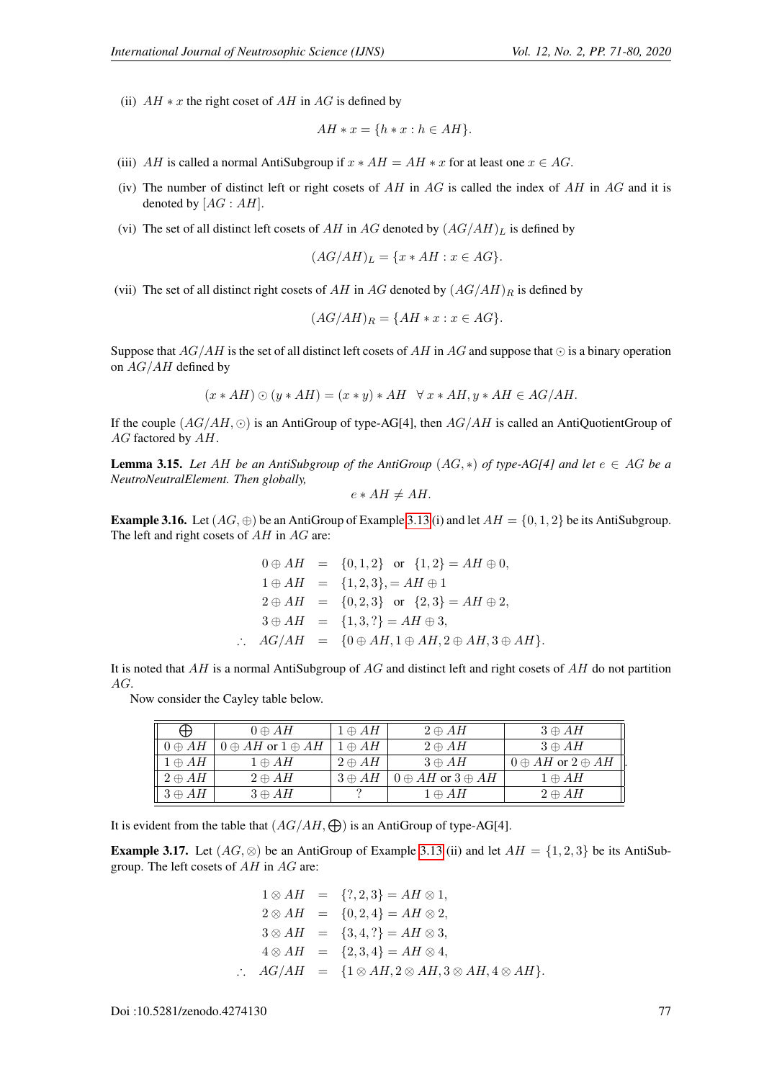(ii)  $AH * x$  the right coset of AH in AG is defined by

$$
AH * x = \{h * x : h \in AH\}.
$$

- (iii) AH is called a normal AntiSubgroup if  $x * AH = AH * x$  for at least one  $x \in AG$ .
- (iv) The number of distinct left or right cosets of  $AH$  in  $AG$  is called the index of  $AH$  in  $AG$  and it is denoted by  $[AG : AH]$ .
- (vi) The set of all distinct left cosets of AH in AG denoted by  $(AG/AH)_L$  is defined by

$$
(AG/AH)_L = \{x * AH : x \in AG\}.
$$

(vii) The set of all distinct right cosets of AH in AG denoted by  $(AG/AH)_R$  is defined by

$$
(AG/AH)_R = \{AH * x : x \in AG\}.
$$

Suppose that  $AG/AH$  is the set of all distinct left cosets of  $AH$  in AG and suppose that  $\odot$  is a binary operation on  $AG/AH$  defined by

$$
(x*AH)\odot (y*AH)=(x*y)*AH~~\forall~x*AH,y*AH\in AG/AH
$$

If the couple  $(AG/AH, \odot)$  is an AntiGroup of type-AG[4], then  $AG/AH$  is called an AntiQuotientGroup of AG factored by AH.

**Lemma 3.15.** *Let* AH *be an AntiSubgroup of the AntiGroup*  $(AG, *)$  *of type-AG[4] and let*  $e \in AG$  *be a NeutroNeutralElement. Then globally,*

$$
e * AH \neq AH.
$$

<span id="page-6-0"></span>Example 3.16. Let  $(AG, \oplus)$  be an AntiGroup of Example [3.13](#page-0-0) (i) and let  $AH = \{0, 1, 2\}$  be its AntiSubgroup. The left and right cosets of  $AH$  in  $AG$  are:

$$
0 \oplus AH = \{0, 1, 2\} \text{ or } \{1, 2\} = AH \oplus 0,
$$
  
\n
$$
1 \oplus AH = \{1, 2, 3\} = AH \oplus 1
$$
  
\n
$$
2 \oplus AH = \{0, 2, 3\} \text{ or } \{2, 3\} = AH \oplus 2,
$$
  
\n
$$
3 \oplus AH = \{1, 3, ?\} = AH \oplus 3,
$$
  
\n
$$
\therefore AG/AH = \{0 \oplus AH, 1 \oplus AH, 2 \oplus AH, 3 \oplus AH\}.
$$

It is noted that  $AH$  is a normal AntiSubgroup of  $AG$  and distinct left and right cosets of  $AH$  do not partition AG.

Now consider the Cayley table below.

|                         | $0 \oplus AH$                  | $1 \oplus AH$ | $2 \oplus AH$                  | $3 \oplus AH$                  |
|-------------------------|--------------------------------|---------------|--------------------------------|--------------------------------|
| $\parallel 0 \oplus AH$ | $0 \oplus AH$ or $1 \oplus AH$ | $1 \oplus AH$ | $2 \oplus AH$                  | $3 \oplus AH$                  |
| $1 \oplus AH$           | $1 \oplus AH$                  | $2 \oplus AH$ | $3 \oplus AH$                  | $0 \oplus AH$ or $2 \oplus AH$ |
| $2 \oplus AH$           | $2 \oplus AH$                  | $3 \oplus AH$ | $0 \oplus AH$ or $3 \oplus AH$ | $1 \oplus AH$                  |
| $3 \oplus AH$           | $3 \oplus AH$                  |               | $1 \oplus AH$                  | $2 \oplus AH$                  |

It is evident from the table that  $(AG/AH,\bigoplus)$  is an AntiGroup of type-AG[4].

<span id="page-6-1"></span>**Example 3.17.** Let  $(AG, \otimes)$  be an AntiGroup of Example [3.13](#page-0-0) (ii) and let  $AH = \{1, 2, 3\}$  be its AntiSubgroup. The left cosets of AH in AG are:

$$
1 \otimes AH = \{?, 2, 3\} = AH \otimes 1,
$$
  
\n
$$
2 \otimes AH = \{0, 2, 4\} = AH \otimes 2,
$$
  
\n
$$
3 \otimes AH = \{3, 4, ?\} = AH \otimes 3,
$$
  
\n
$$
4 \otimes AH = \{2, 3, 4\} = AH \otimes 4,
$$
  
\n
$$
\therefore AG/AH = \{1 \otimes AH, 2 \otimes AH, 3 \otimes AH, 4 \otimes AH\}.
$$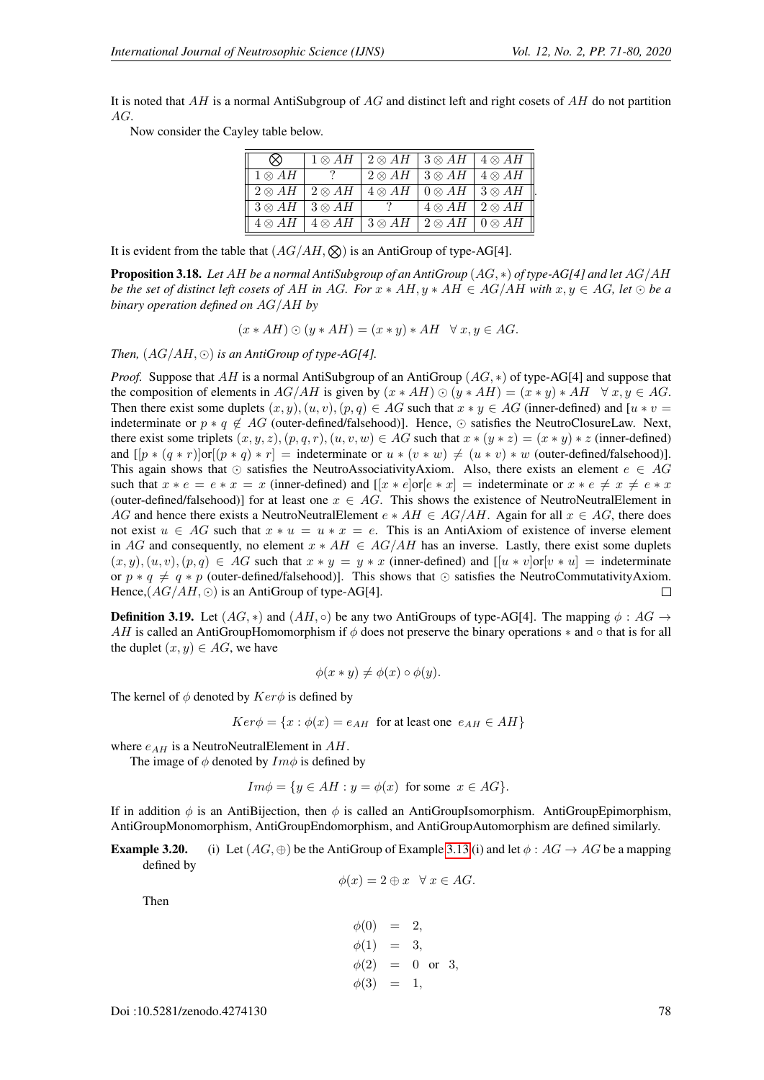.

It is noted that AH is a normal AntiSubgroup of  $AG$  and distinct left and right cosets of AH do not partition AG.

Now consider the Cayley table below.

|                |                                       | $1 \otimes AH$   $2 \otimes AH$   $3 \otimes AH$   $4 \otimes AH$ |                                                  |                                       |
|----------------|---------------------------------------|-------------------------------------------------------------------|--------------------------------------------------|---------------------------------------|
| $1 \otimes AH$ |                                       |                                                                   | $2 \otimes AH$   $3 \otimes AH$   $4 \otimes AH$ |                                       |
| $2 \otimes AH$ | $2 \otimes AH$                        |                                                                   | $4\otimes AH$   $0\otimes AH$   $3\otimes AH$    |                                       |
|                | $3 \otimes AH$   $3 \otimes AH$       |                                                                   | $4 \otimes AH$   $2 \otimes AH$                  |                                       |
| $4 \otimes AH$ | $\mid 4 \otimes AH \mid 3 \otimes AH$ |                                                                   |                                                  | $2 \otimes AH \mid 0 \otimes AH \mid$ |

It is evident from the table that  $(AG/AH,\mathcal{Q})$  is an AntiGroup of type-AG[4].

Proposition 3.18. *Let* AH *be a normal AntiSubgroup of an AntiGroup* (AG, ∗) *of type-AG[4] and let* AG/AH *be the set of distinct left cosets of AH in AG. For*  $x * AH, y * AH \in AG/AH$  *with*  $x, y \in AG$ , let  $\odot$  *be a binary operation defined on* AG/AH *by*

 $(x * AH) \odot (y * AH) = (x * y) * AH \quad \forall x, y \in AG.$ 

*Then,*  $(AG/AH, \odot)$  *is an AntiGroup of type-AG[4].* 

*Proof.* Suppose that AH is a normal AntiSubgroup of an AntiGroup  $(AG, *)$  of type-AG[4] and suppose that the composition of elements in  $AG/AH$  is given by  $(x * AH) \odot (y * AH) = (x * y) * AH \quad \forall x, y \in AG$ . Then there exist some duplets  $(x, y), (u, v), (p, q) \in AG$  such that  $x * y \in AG$  (inner-defined) and  $[u * v =$ indeterminate or  $p * q \notin AG$  (outer-defined/falsehood)]. Hence,  $\odot$  satisfies the NeutroClosureLaw. Next, there exist some triplets  $(x, y, z), (p, q, r), (u, v, w) \in AG$  such that  $x * (y * z) = (x * y) * z$  (inner-defined) and  $[[p * (q * r)]or[(p * q) * r] =$  indeterminate or  $u * (v * w) \neq (u * v) * w$  (outer-defined/falsehood)]. This again shows that  $\odot$  satisfies the NeutroAssociativityAxiom. Also, there exists an element  $e \in AG$ such that  $x * e = e * x = x$  (inner-defined) and  $[x * e]$ or $[e * x] =$  indeterminate or  $x * e \neq x \neq e * x$ (outer-defined/falsehood)] for at least one  $x \in AG$ . This shows the existence of NeutroNeutralElement in AG and hence there exists a NeutroNeutralElement  $e * AH \in AG/AH$ . Again for all  $x \in AG$ , there does not exist  $u \in AG$  such that  $x * u = u * x = e$ . This is an AntiAxiom of existence of inverse element in AG and consequently, no element  $x * AH \in AG/AH$  has an inverse. Lastly, there exist some duplets  $(x, y), (u, v), (p, q) \in AG$  such that  $x * y = y * x$  (inner-defined) and  $[[u * v] \text{or} [v * u] =$  indeterminate or  $p * q \neq q * p$  (outer-defined/falsehood)]. This shows that  $\odot$  satisfies the NeutroCommutativityAxiom. Hence,  $(AG/AH, \odot)$  is an AntiGroup of type-AG[4].  $\Box$ 

**Definition 3.19.** Let  $(AG, *)$  and  $(AH, o)$  be any two AntiGroups of type-AG[4]. The mapping  $\phi : AG \rightarrow$ AH is called an AntiGroupHomomorphism if  $\phi$  does not preserve the binary operations  $*$  and  $\circ$  that is for all the duplet  $(x, y) \in AG$ , we have

$$
\phi(x * y) \neq \phi(x) \circ \phi(y).
$$

The kernel of  $\phi$  denoted by  $Ker\phi$  is defined by

$$
Ker \phi = \{x : \phi(x) = e_{AH} \text{ for at least one } e_{AH} \in AH\}
$$

where  $e_{AH}$  is a NeutroNeutralElement in  $AH$ .

The image of  $\phi$  denoted by  $Im \phi$  is defined by

 $Im \phi = \{y \in AH : y = \phi(x) \text{ for some } x \in AG\}.$ 

If in addition  $\phi$  is an AntiBijection, then  $\phi$  is called an AntiGroupIsomorphism. AntiGroupEpimorphism, AntiGroupMonomorphism, AntiGroupEndomorphism, and AntiGroupAutomorphism are defined similarly.

**Example 3.20.** (i) Let  $(AG, \oplus)$  be the AntiGroup of Example [3.13](#page-0-0) (i) and let  $\phi : AG \rightarrow AG$  be a mapping defined by

$$
\phi(x) = 2 \oplus x \quad \forall x \in AG.
$$

Then

$$
\begin{aligned}\n\phi(0) &= 2, \\
\phi(1) &= 3, \\
\phi(2) &= 0 \text{ or } 3, \\
\phi(3) &= 1,\n\end{aligned}
$$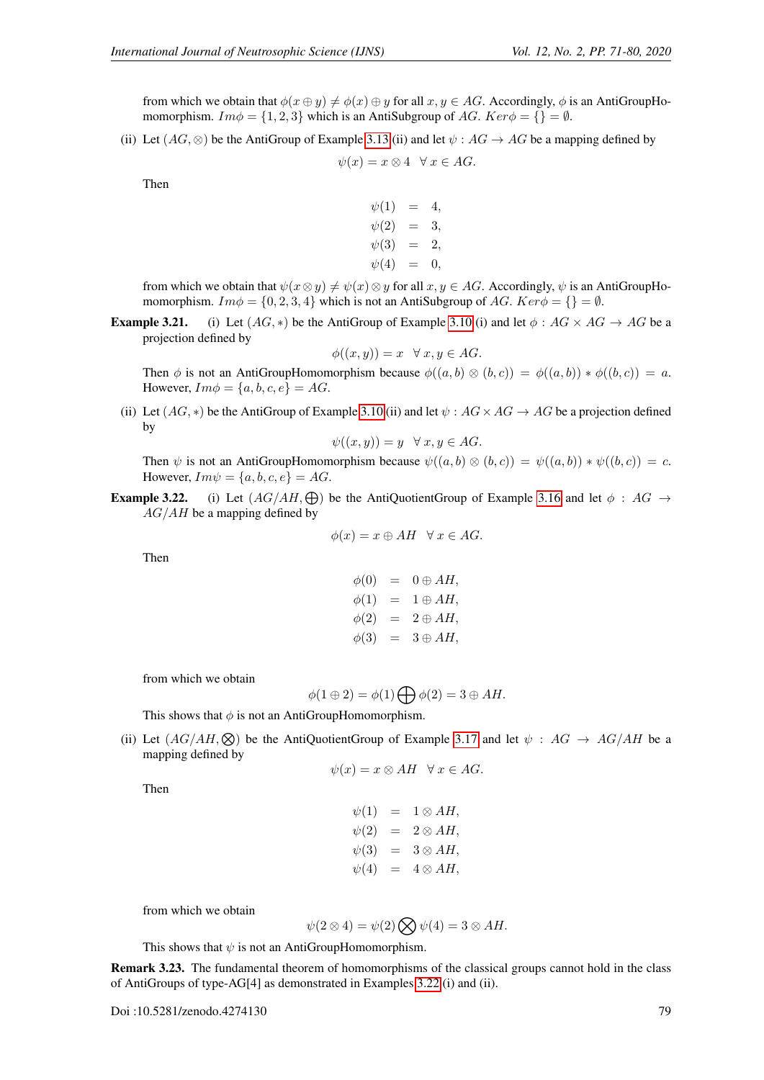from which we obtain that  $\phi(x \oplus y) \neq \phi(x) \oplus y$  for all  $x, y \in AG$ . Accordingly,  $\phi$  is an AntiGroupHomomorphism.  $Im \phi = \{1, 2, 3\}$  which is an AntiSubgroup of AG.  $Ker \phi = \{\} = \emptyset$ .

(ii) Let  $(AG, \otimes)$  be the AntiGroup of Example [3.13](#page-0-0) (ii) and let  $\psi : AG \rightarrow AG$  be a mapping defined by

$$
\psi(x) = x \otimes 4 \quad \forall \ x \in AG.
$$

Then

 $\psi(1) = 4,$  $\psi(2) = 3,$  $\psi(3) = 2,$  $\psi(4) = 0$ 

from which we obtain that  $\psi(x \otimes y) \neq \psi(x) \otimes y$  for all  $x, y \in AG$ . Accordingly,  $\psi$  is an AntiGroupHomomorphism.  $Im \phi = \{0, 2, 3, 4\}$  which is not an AntiSubgroup of AG. Ker $\phi = \{\} = \emptyset$ .

**Example 3.21.** (i) Let  $(AG, *)$  be the AntiGroup of Example [3.10](#page-4-0) (i) and let  $\phi : AG \times AG \rightarrow AG$  be a projection defined by

$$
\phi((x, y)) = x \quad \forall \ x, y \in AG.
$$

Then  $\phi$  is not an AntiGroupHomomorphism because  $\phi((a, b) \otimes (b, c)) = \phi((a, b)) * \phi((b, c)) = a$ . However,  $Im \phi = \{a, b, c, e\} = AG$ .

(ii) Let  $(AG, *)$  be the AntiGroup of Example [3.10](#page-4-0) (ii) and let  $\psi : AG \times AG \rightarrow AG$  be a projection defined by

$$
\psi((x,y)) = y \quad \forall \ x, y \in AG.
$$

Then  $\psi$  is not an AntiGroupHomomorphism because  $\psi((a, b) \otimes (b, c)) = \psi((a, b)) * \psi((b, c)) = c$ . However,  $Im\psi = \{a, b, c, e\} = AG$ .

**Example 3.22.** (i) Let  $(AG/AH,\bigoplus)$  be the AntiQuotientGroup of Example [3.16](#page-6-0) and let  $\phi : AG \rightarrow$  $AG/AH$  be a mapping defined by

$$
\phi(x) = x \oplus AH \quad \forall x \in AG.
$$

Then

$$
\begin{array}{rcl}\n\phi(0) & = & 0 \oplus AH, \\
\phi(1) & = & 1 \oplus AH, \\
\phi(2) & = & 2 \oplus AH, \\
\phi(3) & = & 3 \oplus AH,\n\end{array}
$$

from which we obtain

$$
\phi(1 \oplus 2) = \phi(1) \bigoplus \phi(2) = 3 \oplus AH.
$$

This shows that  $\phi$  is not an AntiGroupHomomorphism.

(ii) Let  $(AG/AH,\otimes)$  be the AntiQuotientGroup of Example [3.17](#page-6-1) and let  $\psi : AG \rightarrow AG/AH$  be a mapping defined by

$$
\psi(x) = x \otimes AH \quad \forall x \in AG.
$$

Then

$$
\psi(1) = 1 \otimes AH,
$$
  
\n
$$
\psi(2) = 2 \otimes AH,
$$
  
\n
$$
\psi(3) = 3 \otimes AH,
$$
  
\n
$$
\psi(4) = 4 \otimes AH,
$$

from which we obtain

$$
\psi(2 \otimes 4) = \psi(2) \bigotimes \psi(4) = 3 \otimes AH.
$$

This shows that  $\psi$  is not an AntiGroupHomomorphism.

Remark 3.23. The fundamental theorem of homomorphisms of the classical groups cannot hold in the class of AntiGroups of type-AG[4] as demonstrated in Examples [3.22](#page-0-0) (i) and (ii).